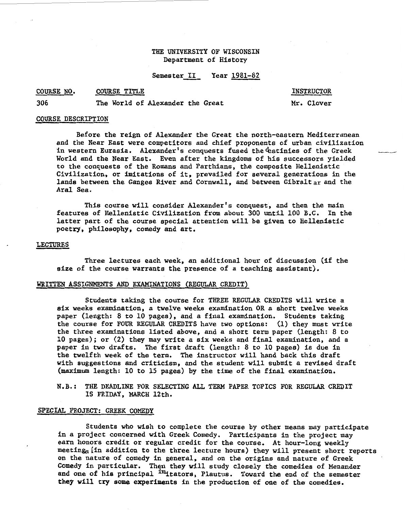# THE UNIVERSITY OF WISCONSIN Department of History

# Semester II Year 1981-82

#### COURSE TITLE COURSE NO.

INSTRUCTOR

306 The World of Alexander the Great

Mr. Clover

#### COURSE DESCRIPTION

Before the reign of Alexander the Great the north-eastern Mediterranean and the Near East were competitors and chief proponents of urban civilization in western Eurasia. Alexander's conquests fused the destinies of the Greek World and the Near East. Even after the kingdoms of his successors yielded to the conquests of the Romans and Parthians, the composite Hellenistic Civilization, or imitations of it, prevailed for several generations in the lands between the Ganges River and Cornwall, and between Gibralt ar and the Aral Sea.

This course will consider Alexander's conquest, and then the main features of Hellenistic Civilization from about 300 until 100 B.C. In the latter part of the course special attention will be given to Hellenistic poetry, philosophy, comedy and art.

#### LECTURES

Three lectures each week, an additional hour of discussion (if the size of the course warrants the presence of a teaching assistant).

#### WRITTEN ASSIGNMENTS AND EXAMINATIONS (REGULAR CREDIT)

Students taking the course for THREE REGULAR CREDITS will write a six weeks examination, a twelve weeks examination OR a short twelve weeks paper (length: 8 to 10 pages), and a final examination. Students taking the course for FOUR REGULAR CREDITS have two options: (1) they must write the three examinations listed above, and a short term paper (length: 8 to 10 pages); or (2) they may write a six weeks and final examination, and a paper in two drafts. The first draft (length: 8 to 10 pages) is due in the twelfth week of the term. The instructor will hand back this draft with suggestions and criticism, and the student will submit a revised draft (maximum length: 10 to 15 pages) by the time of the final examination.

N.B.: THE DEADLINE FOR SELECTING ALL TERM PAPER TOPICS FOR REGULAR CREDIT IS FRIDAY, MARCH 12th.

#### SPECIAL PROJECT: GREEK COMEDY

Students who wish to complete the course by other means may participate in a project concerned with Greek Comedy. Participants in the project may earn honors credit or regular credit for the course. At hour-long weekly meeting (in addition to the three lecture hours) they will present short reports on the nature of comedy in general, and on the origins and nature of Greek Comedy in particular. Then they will study closely the comedies of Menander and one of his principal <sup>im</sup>itators, Plautus. Toward the end of the semester they will try some experiments in the production of one of the comedies.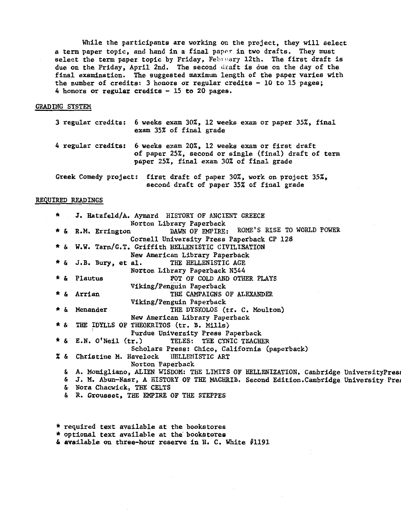While the participants are working on the project, they will select a term paper topic, and hand in a final paper in two drafts. They must select the term paper topic by Friday, February 12th. The first draft is due on the Friday, April 2nd. The second draft is due on the day of the final examination. The suggested maximum length of the paper varies with the number of credits: 3 honors or regular credits  $-10$  to 15 pages; 4 honors or regular credits - 15 to 20 pages.

## GRADING SYSTEM

|                    | 3 regular credits: 6 weeks exam 30%, 12 weeks exam or paper 35%, final<br>exam 35% of final grade                                                  |
|--------------------|----------------------------------------------------------------------------------------------------------------------------------------------------|
| 4 regular credits: | 6 weeks exam 20%, 12 weeks exam or first draft<br>of paper 25%, second or single (final) draft of term<br>paper 25%, final exam 30% of final grade |
|                    | Greek Comedy project: first draft of paper 30%, work on project 35%,<br>second draft of paper 35% of final grade                                   |

#### REQUIRED READINGS

| * |            | J. Hatzfeld/A. Aymard HISTORY OF ANCIENT GREECE                                      |
|---|------------|--------------------------------------------------------------------------------------|
|   |            | Norton Library Paperback                                                             |
|   | * &        | DAWN OF EMPIRE: ROME'S RISE TO WORLD POWER<br>R.M. Errington                         |
|   |            | Cornell University Press Paperback CP 128                                            |
|   | * &        | W.W. Tarn/G.T. Griffith HELLENISTIC CIVILISATION                                     |
|   |            | New American Library Paperback                                                       |
|   | * &        | THE HELLENISTIC AGE<br>J.B. Bury, et al.                                             |
|   |            | Norton Library Paperback N544                                                        |
|   | ∗ ይ        | Plautus<br>POT OF COLD AND OTHER PLAYS                                               |
|   |            |                                                                                      |
|   |            | Viking/Penguin Paperback                                                             |
|   | * &        | Arrian<br>THE CAMPAIGNS OF ALEXANDER                                                 |
|   |            | Viking/Penguin Paperback                                                             |
|   | * &        | Menander<br>THE DYSKOLOS (tr. C. Moulton)                                            |
|   |            | New American Library Paperback                                                       |
|   | * &        | THE IDYLLS OF THEOKRITOS (tr. B. Mills)                                              |
|   |            | Purdue University Press Paperback                                                    |
|   | * &        | E.N. O'Neil (tr.)<br>TELES: THE CYNIC TEACHER                                        |
|   |            | Scholars Press: Chico, California (paperback)                                        |
|   | <b>7</b> & | Christine M. Havelock HELLENISTIC ART                                                |
|   |            | Norton Paperback                                                                     |
|   | &.         | A. Momigliano, ALIEN WISDOM: THE LIMITS OF HELLENIZATION. Cambridge UniversityPress  |
|   | &          | J. M. Abun-Nasr, A HISTORY OF THE MAGHRIB. Second Edition. Cambridge University Pres |
|   | δ.         | Nora Chacwick, THE CELTS                                                             |
|   | ê.         | R. Grousset, THE EMPIRE OF THE STEPPES                                               |
|   |            |                                                                                      |

\* required text available at the bookstores \* optional text available at the bookstores

 $\&$  available on three-hour reserve in H. C. White  $\#1191$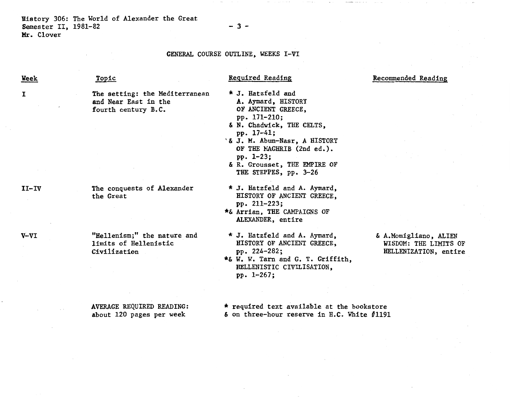History 306: The World of Alexander the Great Semester II, 1981-82 Mr. Clover

#### GENERAL COURSE OUTLINE, WEEKS I-VI

- 3-

Week

I

Topic

### Required Reading

# Recommended Reading

The setting: the Mediterranean and Near East in the fourth century B.C.

The conquests of Alexander the Great

"Hellenism;" the nature and limits of Hellenistic Civilization

AVERAGE REQUIRED READING: about 120 pages per week

\* J. Hatzfeld and A. Aymard, HISTORY OF ANCIENT GREECE, pp. 171-210; & N. Chadwick, THE CELTS, pp. 17-41; '& J. M. Abun-Nasr, A HISTORY OF THE MAGHRIB (2nd ed.). pp. 1-23;

& R. Grousset, THE EMPIRE OF THE STEPPES, pp. 3-26

\* J. Hatzfeld and A. Aymard, HISTORY OF ANCIENT GREECE, pp. 211-223;

\*& Arrian, THE CAMPAIGNS OF ALEXANDER, entire

\* J. Hatzfeld and A. Aymard, HISTORY OF ANCIENT GREECE, pp. 224-282;

\*& W. W. Tarn and G. T. Griffith, HELLENISTIC CIVILISATION, pp. 1-267;

## & A.Momigliano, ALIEN WISDOM: THE LIMITS OF HELLENIZATION, entire

\* required text available at the bookstore  $\&$  on three-hour reserve in H.C. White  $\#1191$ 

II-IV

V-VI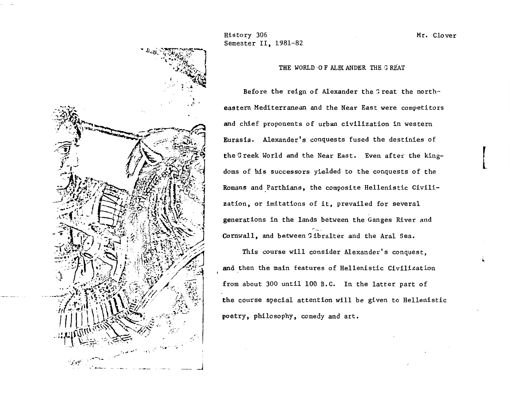

History 306 Semester II, 1981-82

THE WORLD OF ALEX ANDER THE G REAT

Before the reign of Alexander the Great the northeastern Mediterranean and the Near East were competitors and chief proponents of urban civilization in western Eurasia. Alexander's conquests fused the destinies of the Greek World and the Near East. Even after the kingdoms of his successors yielded to the conquests of the Romans and Parthians, the composite Hellenistic Civilization, or imitations of it, prevailed for several generations in the lands between the Ganges River and Cornwall, and between Gibralter and the Aral Sea.

This course will consider Alexander's conquest, and then the main features of Hellenistic Civilization from about 300 until 100 B.C. In the latter part of the course special attention will be given to Hellenistic poetry, philosophy, comedy and art.

Mr. Clover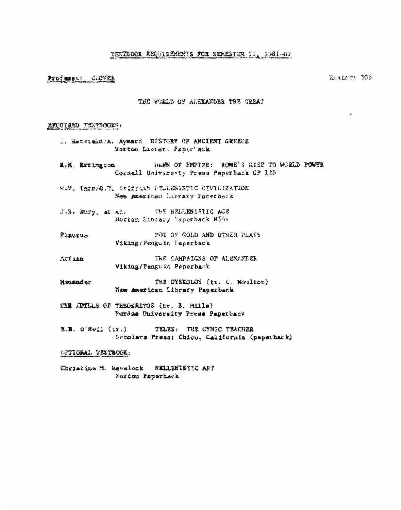# TEXTBOOX REQUIREMENTS FOR SEMESTER II, 1981-82

## Professor CLOVER

Eister 306

è

## THE WORLD OF ALEXANDER THE GREAT

#### REQUIRED TEXTSOOKS:

- J. Hatsteld/A. Aymard HISTORY OF ANCIENT GREECE Norton Listery Paper'sck
- DAWN OF EMPIRE: ROME'S RISE TO WORLD POWER R.M. Errington Cornell University Press Paperback OP 128
- W.M. Tarm/G.T. Oriffiah FELLEWISTIC CIVILIZATION New American Library Pacerback
- THE HELLENISTIC AGE J.S. Bury, at al. Norton Libiary Paperback N544
- POT OF GOLD AND OTHER PLAYS Flautus Viking/Fenguin Paperback
- THE CAMPAIGNS OF ALEXANDER ATTIER Viking/Penguit Peperback
- Manandar THE DYSKOLOS (tr. C. Moulton) New American Library Paperback
- THE INTLLS OF THEOKRITOS (tr. B. Mills) Purdue University Press Paperback
- TELES: THE CYNIC TEACHER 選。第。 O'Net」 (tr.) Scholars Press: Chico, California (paperback)

## SYTIONAL TEXTBOOK:

Christine M. Havelock NELLENISTIC ART Norton Paparback